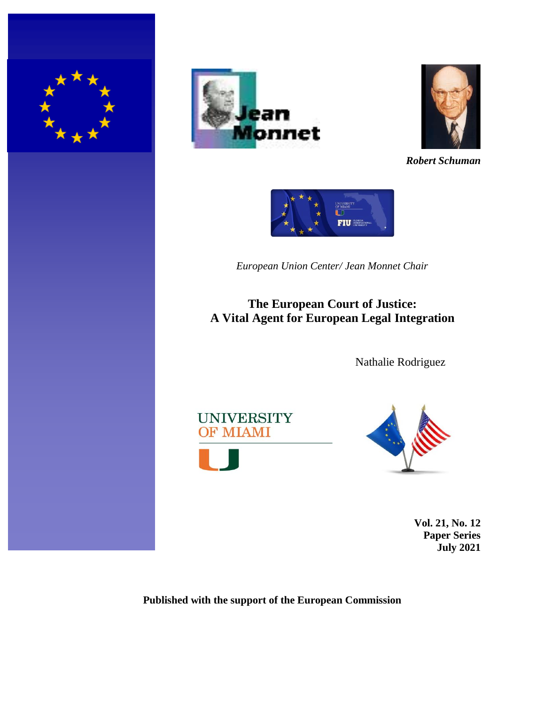





*Robert Schuman*



*European Union Center/ Jean Monnet Chair*

**The European Court of Justice: A Vital Agent for European Legal Integration**

Nathalie Rodriguez





**Vol. 21, No. 12 Paper Series July 2021**

## **Published with the support of the European Commission**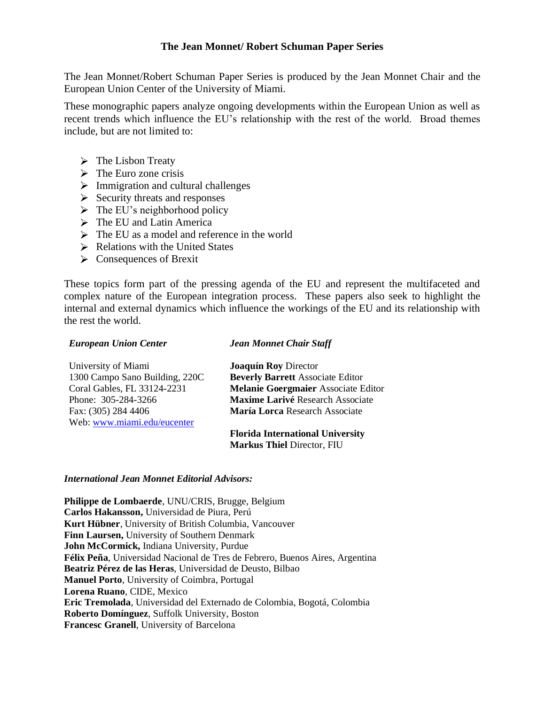## **The Jean Monnet/ Robert Schuman Paper Series**

The Jean Monnet/Robert Schuman Paper Series is produced by the Jean Monnet Chair and the European Union Center of the University of Miami.

These monographic papers analyze ongoing developments within the European Union as well as recent trends which influence the EU's relationship with the rest of the world. Broad themes include, but are not limited to:

- $\triangleright$  The Lisbon Treaty
- $\triangleright$  The Euro zone crisis
- $\triangleright$  Immigration and cultural challenges
- $\triangleright$  Security threats and responses
- $\triangleright$  The EU's neighborhood policy
- $\triangleright$  The EU and Latin America
- $\triangleright$  The EU as a model and reference in the world
- $\triangleright$  Relations with the United States
- Consequences of Brexit

These topics form part of the pressing agenda of the EU and represent the multifaceted and complex nature of the European integration process. These papers also seek to highlight the internal and external dynamics which influence the workings of the EU and its relationship with the rest the world.

#### *European Union Center*

#### *Jean Monnet Chair Staff*

| University of Miami            | <b>Joaquín Roy Director</b>             |
|--------------------------------|-----------------------------------------|
| 1300 Campo Sano Building, 220C | <b>Beverly Barrett Associate Editor</b> |
| Coral Gables, FL 33124-2231    | Melanie Goergmaier Associate Editor     |
| Phone: 305-284-3266            | <b>Maxime Larivé Research Associate</b> |
| Fax: (305) 284 4406            | María Lorca Research Associate          |
| Web: www.miami.edu/eucenter    |                                         |
|                                | <b>Florida International University</b> |

# **Markus Thiel** Director, FIU

#### *International Jean Monnet Editorial Advisors:*

**Philippe de Lombaerde**, UNU/CRIS, Brugge, Belgium **Carlos Hakansson,** Universidad de Piura, Perú **Kurt Hübner**, University of British Columbia, Vancouver **Finn Laursen,** University of Southern Denmark **John McCormick,** Indiana University, Purdue **Félix Peña**, Universidad Nacional de Tres de Febrero, Buenos Aires, Argentina **Beatriz Pérez de las Heras**, Universidad de Deusto, Bilbao **Manuel Porto**, University of Coimbra, Portugal **Lorena Ruano**, CIDE, Mexico **Eric Tremolada**, Universidad del Externado de Colombia, Bogotá, Colombia **Roberto Domínguez**, Suffolk University, Boston **Francesc Granell**, University of Barcelona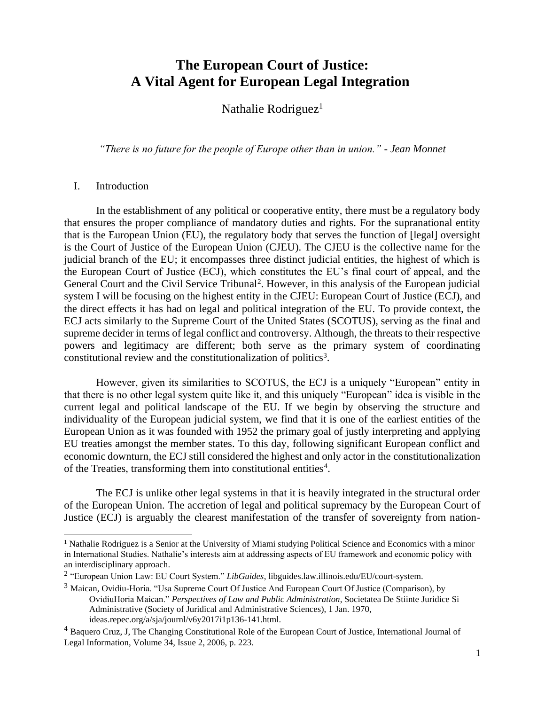## **The European Court of Justice: A Vital Agent for European Legal Integration**

Nathalie Rodriguez<sup>1</sup>

*"There is no future for the people of Europe other than in union." - Jean Monnet* 

#### I. Introduction

In the establishment of any political or cooperative entity, there must be a regulatory body that ensures the proper compliance of mandatory duties and rights. For the supranational entity that is the European Union (EU), the regulatory body that serves the function of [legal] oversight is the Court of Justice of the European Union (CJEU). The CJEU is the collective name for the judicial branch of the EU; it encompasses three distinct judicial entities, the highest of which is the European Court of Justice (ECJ), which constitutes the EU's final court of appeal, and the General Court and the Civil Service Tribunal<sup>2</sup>. However, in this analysis of the European judicial system I will be focusing on the highest entity in the CJEU: European Court of Justice (ECJ), and the direct effects it has had on legal and political integration of the EU. To provide context, the ECJ acts similarly to the Supreme Court of the United States (SCOTUS), serving as the final and supreme decider in terms of legal conflict and controversy. Although, the threats to their respective powers and legitimacy are different; both serve as the primary system of coordinating constitutional review and the constitutionalization of politics<sup>3</sup>.

However, given its similarities to SCOTUS, the ECJ is a uniquely "European" entity in that there is no other legal system quite like it, and this uniquely "European" idea is visible in the current legal and political landscape of the EU. If we begin by observing the structure and individuality of the European judicial system, we find that it is one of the earliest entities of the European Union as it was founded with 1952 the primary goal of justly interpreting and applying EU treaties amongst the member states. To this day, following significant European conflict and economic downturn, the ECJ still considered the highest and only actor in the constitutionalization of the Treaties, transforming them into constitutional entities<sup>4</sup>.

The ECJ is unlike other legal systems in that it is heavily integrated in the structural order of the European Union. The accretion of legal and political supremacy by the European Court of Justice (ECJ) is arguably the clearest manifestation of the transfer of sovereignty from nation-

<sup>&</sup>lt;sup>1</sup> Nathalie Rodriguez is a Senior at the University of Miami studying Political Science and Economics with a minor in International Studies. Nathalie's interests aim at addressing aspects of EU framework and economic policy with an interdisciplinary approach.

<sup>2</sup> "European Union Law: EU Court System." *LibGuides*, libguides.law.illinois.edu/EU/court-system.

 $3$  Maican, Ovidiu-Horia. "Usa Supreme Court Of Justice And European Court Of Justice (Comparison), by OvidiuHoria Maican." *Perspectives of Law and Public Administration*, Societatea De Stiinte Juridice Si Administrative (Society of Juridical and Administrative Sciences), 1 Jan. 1970, ideas.repec.org/a/sja/journl/v6y2017i1p136-141.html.

<sup>4</sup> Baquero Cruz, J, The Changing Constitutional Role of the European Court of Justice, International Journal of Legal Information, Volume 34, Issue 2, 2006, p. 223.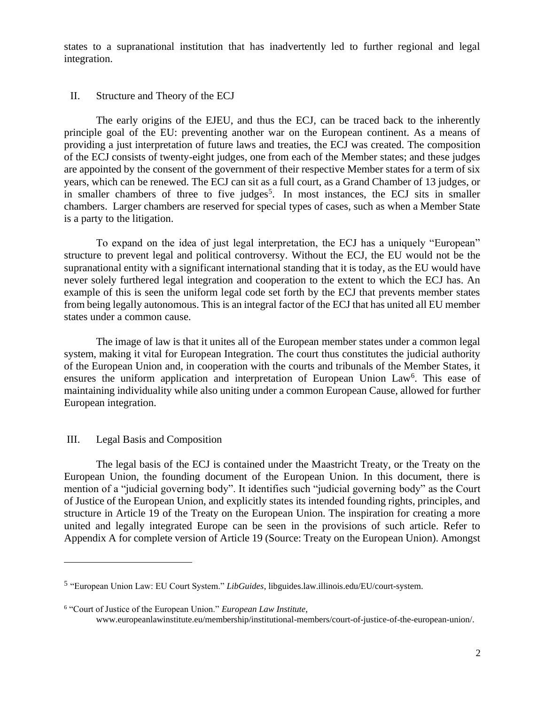states to a supranational institution that has inadvertently led to further regional and legal integration.

### II. Structure and Theory of the ECJ

The early origins of the EJEU, and thus the ECJ, can be traced back to the inherently principle goal of the EU: preventing another war on the European continent. As a means of providing a just interpretation of future laws and treaties, the ECJ was created. The composition of the ECJ consists of twenty-eight judges, one from each of the Member states; and these judges are appointed by the consent of the government of their respective Member states for a term of six years, which can be renewed. The ECJ can sit as a full court, as a Grand Chamber of 13 judges, or in smaller chambers of three to five judges<sup>5</sup>. In most instances, the ECJ sits in smaller chambers. Larger chambers are reserved for special types of cases, such as when a Member State is a party to the litigation.

To expand on the idea of just legal interpretation, the ECJ has a uniquely "European" structure to prevent legal and political controversy. Without the ECJ, the EU would not be the supranational entity with a significant international standing that it is today, as the EU would have never solely furthered legal integration and cooperation to the extent to which the ECJ has. An example of this is seen the uniform legal code set forth by the ECJ that prevents member states from being legally autonomous. This is an integral factor of the ECJ that has united all EU member states under a common cause.

The image of law is that it unites all of the European member states under a common legal system, making it vital for European Integration. The court thus constitutes the judicial authority of the European Union and, in cooperation with the courts and tribunals of the Member States, it ensures the uniform application and interpretation of European Union Law<sup>6</sup>. This ease of maintaining individuality while also uniting under a common European Cause, allowed for further European integration.

## III. Legal Basis and Composition

The legal basis of the ECJ is contained under the Maastricht Treaty, or the Treaty on the European Union, the founding document of the European Union. In this document, there is mention of a "judicial governing body". It identifies such "judicial governing body" as the Court of Justice of the European Union, and explicitly states its intended founding rights, principles, and structure in Article 19 of the Treaty on the European Union. The inspiration for creating a more united and legally integrated Europe can be seen in the provisions of such article. Refer to Appendix A for complete version of Article 19 (Source: Treaty on the European Union). Amongst

<sup>5</sup> "European Union Law: EU Court System." *LibGuides*, libguides.law.illinois.edu/EU/court-system.

<sup>6</sup> "Court of Justice of the European Union." *European Law Institute*,

www.europeanlawinstitute.eu/membership/institutional-members/court-of-justice-of-the-european-union/.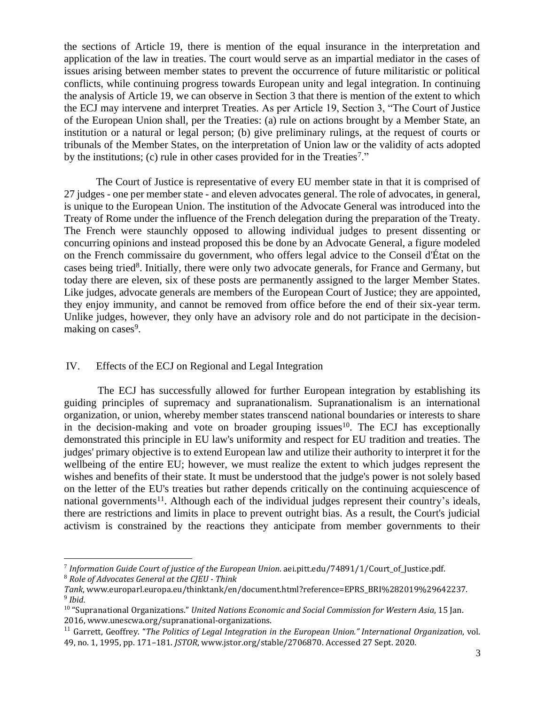the sections of Article 19, there is mention of the equal insurance in the interpretation and application of the law in treaties. The court would serve as an impartial mediator in the cases of issues arising between member states to prevent the occurrence of future militaristic or political conflicts, while continuing progress towards European unity and legal integration. In continuing the analysis of Article 19, we can observe in Section 3 that there is mention of the extent to which the ECJ may intervene and interpret Treaties. As per Article 19, Section 3, "The Court of Justice of the European Union shall, per the Treaties: (a) rule on actions brought by a Member State, an institution or a natural or legal person; (b) give preliminary rulings, at the request of courts or tribunals of the Member States, on the interpretation of Union law or the validity of acts adopted by the institutions; (c) rule in other cases provided for in the Treaties<sup>7</sup>."

The Court of Justice is representative of every EU member state in that it is comprised of 27 judges - one per member state - and eleven advocates general. The role of advocates, in general, is unique to the European Union. The institution of the Advocate General was introduced into the Treaty of Rome under the influence of the French delegation during the preparation of the Treaty. The French were staunchly opposed to allowing individual judges to present dissenting or concurring opinions and instead proposed this be done by an Advocate General, a figure modeled on the French commissaire du government, who offers legal advice to the Conseil d'État on the cases being tried<sup>8</sup>. Initially, there were only two advocate generals, for France and Germany, but today there are eleven, six of these posts are permanently assigned to the larger Member States. Like judges, advocate generals are members of the European Court of Justice; they are appointed, they enjoy immunity, and cannot be removed from office before the end of their six-year term. Unlike judges, however, they only have an advisory role and do not participate in the decisionmaking on cases<sup>9</sup>.

## IV. Effects of the ECJ on Regional and Legal Integration

 The ECJ has successfully allowed for further European integration by establishing its guiding principles of supremacy and supranationalism. Supranationalism is an international organization, or union, whereby member states transcend national boundaries or interests to share in the decision-making and vote on broader grouping issues<sup>10</sup>. The ECJ has exceptionally demonstrated this principle in EU law's uniformity and respect for EU tradition and treaties. The judges' primary objective is to extend European law and utilize their authority to interpret it for the wellbeing of the entire EU; however, we must realize the extent to which judges represent the wishes and benefits of their state. It must be understood that the judge's power is not solely based on the letter of the EU's treaties but rather depends critically on the continuing acquiescence of national governments<sup>11</sup>. Although each of the individual judges represent their country's ideals, there are restrictions and limits in place to prevent outright bias. As a result, the Court's judicial activism is constrained by the reactions they anticipate from member governments to their

<sup>7</sup> *Information Guide Court of justice of the European Union*. aei.pitt.edu/74891/1/Court\_of\_Justice.pdf. <sup>8</sup> *Role of Advocates General at the CJEU - Think*

*Tank*, www.europarl.europa.eu/thinktank/en/document.html?reference=EPRS\_BRI%282019%29642237. 9 *Ibid.* 

<sup>10</sup> "Supranational Organizations." *United Nations Economic and Social Commission for Western Asia*, 15 Jan. 2016, www.unescwa.org/supranational-organizations.

<sup>11</sup> Garrett, Geoffrey. "*The Politics of Legal Integration in the European Union." International Organization*, vol. 49, no. 1, 1995, pp. 171–181. *JSTOR*, www.jstor.org/stable/2706870. Accessed 27 Sept. 2020.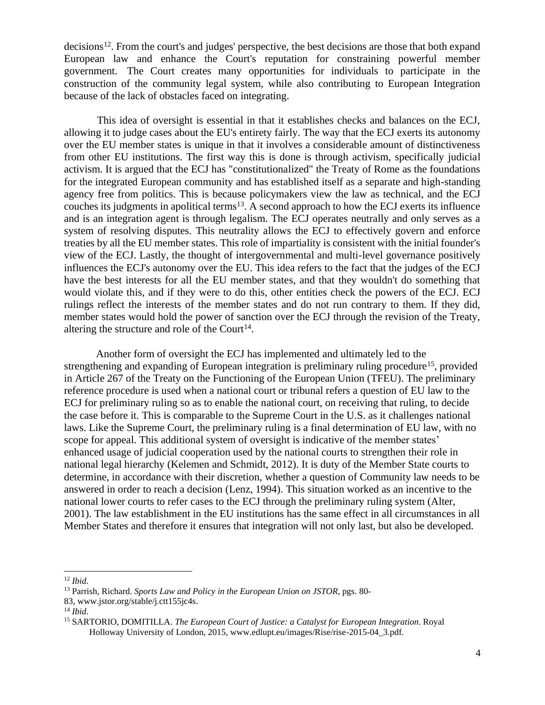decisions<sup>12</sup>. From the court's and judges' perspective, the best decisions are those that both expand European law and enhance the Court's reputation for constraining powerful member government. The Court creates many opportunities for individuals to participate in the construction of the community legal system, while also contributing to European Integration because of the lack of obstacles faced on integrating.

 This idea of oversight is essential in that it establishes checks and balances on the ECJ, allowing it to judge cases about the EU's entirety fairly. The way that the ECJ exerts its autonomy over the EU member states is unique in that it involves a considerable amount of distinctiveness from other EU institutions. The first way this is done is through activism, specifically judicial activism. It is argued that the ECJ has "constitutionalized" the Treaty of Rome as the foundations for the integrated European community and has established itself as a separate and high-standing agency free from politics. This is because policymakers view the law as technical, and the ECJ couches its judgments in apolitical terms<sup>13</sup>. A second approach to how the ECJ exerts its influence and is an integration agent is through legalism. The ECJ operates neutrally and only serves as a system of resolving disputes. This neutrality allows the ECJ to effectively govern and enforce treaties by all the EU member states. This role of impartiality is consistent with the initial founder's view of the ECJ. Lastly, the thought of intergovernmental and multi-level governance positively influences the ECJ's autonomy over the EU. This idea refers to the fact that the judges of the ECJ have the best interests for all the EU member states, and that they wouldn't do something that would violate this, and if they were to do this, other entities check the powers of the ECJ. ECJ rulings reflect the interests of the member states and do not run contrary to them. If they did, member states would hold the power of sanction over the ECJ through the revision of the Treaty, altering the structure and role of the Court<sup>14</sup>.

Another form of oversight the ECJ has implemented and ultimately led to the strengthening and expanding of European integration is preliminary ruling procedure<sup>15</sup>, provided in Article 267 of the Treaty on the Functioning of the European Union (TFEU). The preliminary reference procedure is used when a national court or tribunal refers a question of EU law to the ECJ for preliminary ruling so as to enable the national court, on receiving that ruling, to decide the case before it. This is comparable to the Supreme Court in the U.S. as it challenges national laws. Like the Supreme Court, the preliminary ruling is a final determination of EU law, with no scope for appeal. This additional system of oversight is indicative of the member states' enhanced usage of judicial cooperation used by the national courts to strengthen their role in national legal hierarchy (Kelemen and Schmidt, 2012). It is duty of the Member State courts to determine, in accordance with their discretion, whether a question of Community law needs to be answered in order to reach a decision (Lenz, 1994). This situation worked as an incentive to the national lower courts to refer cases to the ECJ through the preliminary ruling system (Alter, 2001). The law establishment in the EU institutions has the same effect in all circumstances in all Member States and therefore it ensures that integration will not only last, but also be developed.

<sup>12</sup> *Ibid.*

<sup>13</sup> Parrish, Richard. *Sports Law and Policy in the European Union on JSTOR*, pgs. 80-

<sup>83,</sup> [www.jstor.org/stable/j.ctt155jc4s.](https://nam01.safelinks.protection.outlook.com/?url=http%3A%2F%2Fwww.jstor.org%2Fstable%2Fj.ctt155jc4s&data=02%7C01%7Cnmr104%40miami.edu%7C0784134942a7431b058208d863495a7a%7C2a144b72f23942d48c0e6f0f17c48e33%7C0%7C0%7C637368513998439050&sdata=GXq4XbyPWLSmKUylW9VhqISGhfbvc1Ujdo0jb%2BKkOeo%3D&reserved=0)

<sup>14</sup> *Ibid*.

<sup>15</sup> SARTORIO, DOMITILLA. *The European Court of Justice: a Catalyst for European Integration*. Royal Holloway University of London, 2015, www.edlupt.eu/images/Rise/rise-2015-04\_3.pdf.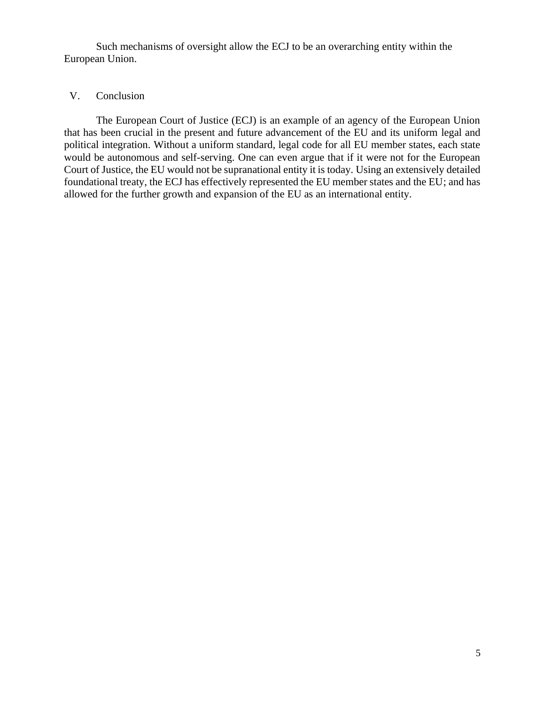Such mechanisms of oversight allow the ECJ to be an overarching entity within the European Union.

## V. Conclusion

The European Court of Justice (ECJ) is an example of an agency of the European Union that has been crucial in the present and future advancement of the EU and its uniform legal and political integration. Without a uniform standard, legal code for all EU member states, each state would be autonomous and self-serving. One can even argue that if it were not for the European Court of Justice, the EU would not be supranational entity it is today. Using an extensively detailed foundational treaty, the ECJ has effectively represented the EU member states and the EU; and has allowed for the further growth and expansion of the EU as an international entity.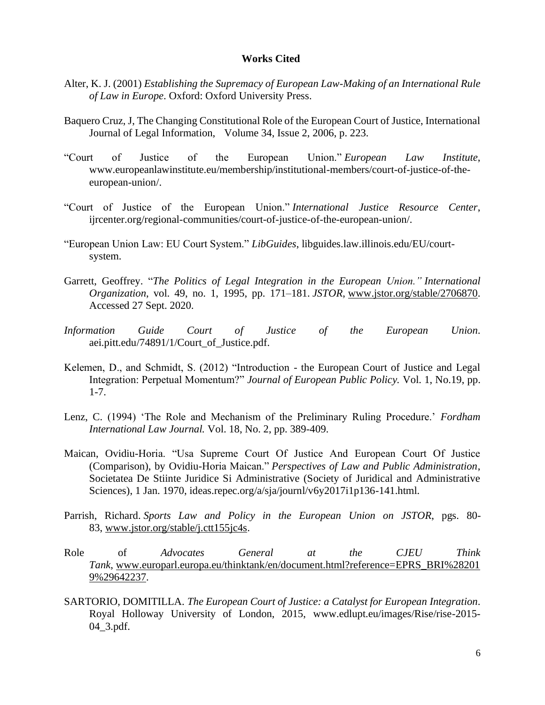#### **Works Cited**

- Alter, K. J. (2001) *Establishing the Supremacy of European Law-Making of an International Rule of Law in Europe*. Oxford: Oxford University Press.
- Baquero Cruz, J, The Changing Constitutional Role of the European Court of Justice, International Journal of Legal Information, Volume 34, Issue 2, 2006, p. 223.
- "Court of Justice of the European Union." *European Law Institute*, www.europeanlawinstitute.eu/membership/institutional-members/court-of-justice-of-theeuropean-union/.
- "Court of Justice of the European Union." *International Justice Resource Center*, ijrcenter.org/regional-communities/court-of-justice-of-the-european-union/.
- "European Union Law: EU Court System." *LibGuides*, libguides.law.illinois.edu/EU/courtsystem.
- Garrett, Geoffrey. "*The Politics of Legal Integration in the European Union." International Organization*, vol. 49, no. 1, 1995, pp. 171–181. *JSTOR*, [www.jstor.org/stable/2706870.](https://nam01.safelinks.protection.outlook.com/?url=http%3A%2F%2Fwww.jstor.org%2Fstable%2F2706870&data=02%7C01%7Cnmr104%40miami.edu%7C0784134942a7431b058208d863495a7a%7C2a144b72f23942d48c0e6f0f17c48e33%7C0%7C0%7C637368513998449035&sdata=l8gIPEl6gPvb5%2Frkwbo1VCVLTH1orbosFfcczUtz4OM%3D&reserved=0) Accessed 27 Sept. 2020.
- *Information Guide Court of Justice of the European Union*. aei.pitt.edu/74891/1/Court\_of\_Justice.pdf.
- Kelemen, D., and Schmidt, S. (2012) "Introduction the European Court of Justice and Legal Integration: Perpetual Momentum?" *Journal of European Public Policy.* Vol. 1, No.19, pp. 1-7.
- Lenz, C. (1994) 'The Role and Mechanism of the Preliminary Ruling Procedure.' *Fordham International Law Journal.* Vol. 18, No. 2, pp. 389-409.
- Maican, Ovidiu-Horia. "Usa Supreme Court Of Justice And European Court Of Justice (Comparison), by Ovidiu-Horia Maican." *Perspectives of Law and Public Administration*, Societatea De Stiinte Juridice Si Administrative (Society of Juridical and Administrative Sciences), 1 Jan. 1970, ideas.repec.org/a/sja/journl/v6y2017i1p136-141.html.
- Parrish, Richard. *Sports Law and Policy in the European Union on JSTOR*, pgs. 80- 83, [www.jstor.org/stable/j.ctt155jc4s.](https://nam01.safelinks.protection.outlook.com/?url=http%3A%2F%2Fwww.jstor.org%2Fstable%2Fj.ctt155jc4s&data=02%7C01%7Cnmr104%40miami.edu%7C0784134942a7431b058208d863495a7a%7C2a144b72f23942d48c0e6f0f17c48e33%7C0%7C0%7C637368513998459057&sdata=Q%2BzG6sj1gUMqINg%2BWrVSs1QLGwzz4NlMjDJa%2FRNzTcc%3D&reserved=0)
- Role of *Advocates General at the CJEU Think Tank*, [www.europarl.europa.eu/thinktank/en/document.html?reference=EPRS\\_BRI%28201](https://nam01.safelinks.protection.outlook.com/?url=http%3A%2F%2Fwww.europarl.europa.eu%2Fthinktank%2Fen%2Fdocument.html%3Freference%3DEPRS_BRI%25282019%2529642237&data=02%7C01%7Cnmr104%40miami.edu%7C0784134942a7431b058208d863495a7a%7C2a144b72f23942d48c0e6f0f17c48e33%7C0%7C0%7C637368513998459057&sdata=NMzBNdVw2IJQjKxDySMRZ0GzuryECj70XpfxQ5b%2FwGo%3D&reserved=0) [9%29642237.](https://nam01.safelinks.protection.outlook.com/?url=http%3A%2F%2Fwww.europarl.europa.eu%2Fthinktank%2Fen%2Fdocument.html%3Freference%3DEPRS_BRI%25282019%2529642237&data=02%7C01%7Cnmr104%40miami.edu%7C0784134942a7431b058208d863495a7a%7C2a144b72f23942d48c0e6f0f17c48e33%7C0%7C0%7C637368513998459057&sdata=NMzBNdVw2IJQjKxDySMRZ0GzuryECj70XpfxQ5b%2FwGo%3D&reserved=0)
- SARTORIO, DOMITILLA. *The European Court of Justice: a Catalyst for European Integration*. Royal Holloway University of London, 2015, www.edlupt.eu/images/Rise/rise-2015- 04\_3.pdf.